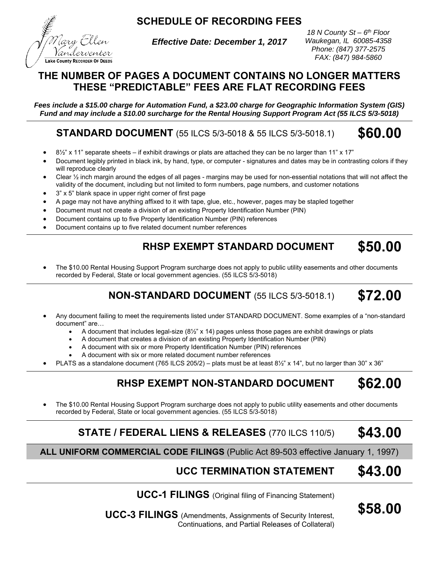**SCHEDULE OF RECORDING FEES** 



*Effective Date: December 1, 2017* 

*18 N County St – 6th Floor Waukegan, IL 60085-4358 Phone: (847) 377-2575 FAX: (847) 984-5860* 

#### **THE NUMBER OF PAGES A DOCUMENT CONTAINS NO LONGER MATTERS THESE "PREDICTABLE" FEES ARE FLAT RECORDING FEES**

*Fees include a \$15.00 charge for Automation Fund, a \$23.00 charge for Geographic Information System (GIS) Fund and may include a \$10.00 surcharge for the Rental Housing Support Program Act (55 ILCS 5/3-5018)*

**STANDARD DOCUMENT** (55 ILCS 5/3-5018 & 55 ILCS 5/3-5018.1) **\$60.00** 

- $8\frac{1}{2}$ " x 11" separate sheets if exhibit drawings or plats are attached they can be no larger than 11" x 17"
- Document legibly printed in black ink, by hand, type, or computer signatures and dates may be in contrasting colors if they will reproduce clearly
- Clear  $\frac{1}{2}$  inch margin around the edges of all pages margins may be used for non-essential notations that will not affect the validity of the document, including but not limited to form numbers, page numbers, and customer notations
- 3" x 5" blank space in upper right corner of first page
- A page may not have anything affixed to it with tape, glue, etc., however, pages may be stapled together
- Document must not create a division of an existing Property Identification Number (PIN)
- Document contains up to five Property Identification Number (PIN) references
- Document contains up to five related document number references

# **RHSP EXEMPT STANDARD DOCUMENT \$50.00**

 The \$10.00 Rental Housing Support Program surcharge does not apply to public utility easements and other documents recorded by Federal, State or local government agencies. (55 ILCS 5/3-5018)

# **NON-STANDARD DOCUMENT** (55 ILCS 5/3-5018.1) **\$72.00**

- Any document failing to meet the requirements listed under STANDARD DOCUMENT. Some examples of a "non-standard document" are…
	- A document that includes legal-size (8½" x 14) pages unless those pages are exhibit drawings or plats
	- A document that creates a division of an existing Property Identification Number (PIN)
	- A document with six or more Property Identification Number (PIN) references
	- A document with six or more related document number references
- PLATS as a standalone document (765 ILCS 205/2) plats must be at least 8½" x 14", but no larger than 30" x 36"

# **RHSP EXEMPT NON-STANDARD DOCUMENT \$62.00**

 The \$10.00 Rental Housing Support Program surcharge does not apply to public utility easements and other documents recorded by Federal, State or local government agencies. (55 ILCS 5/3-5018)

### **STATE / FEDERAL LIENS & RELEASES** (770 ILCS 110/5) **\$43.00**

**ALL UNIFORM COMMERCIAL CODE FILINGS** (Public Act 89-503 effective January 1, 1997)

# **UCC TERMINATION STATEMENT \$43.00**

**\$58.00** 

**UCC-1 FILINGS** (Original filing of Financing Statement)

**UCC-3 FILINGS** (Amendments, Assignments of Security Interest, Continuations, and Partial Releases of Collateral)